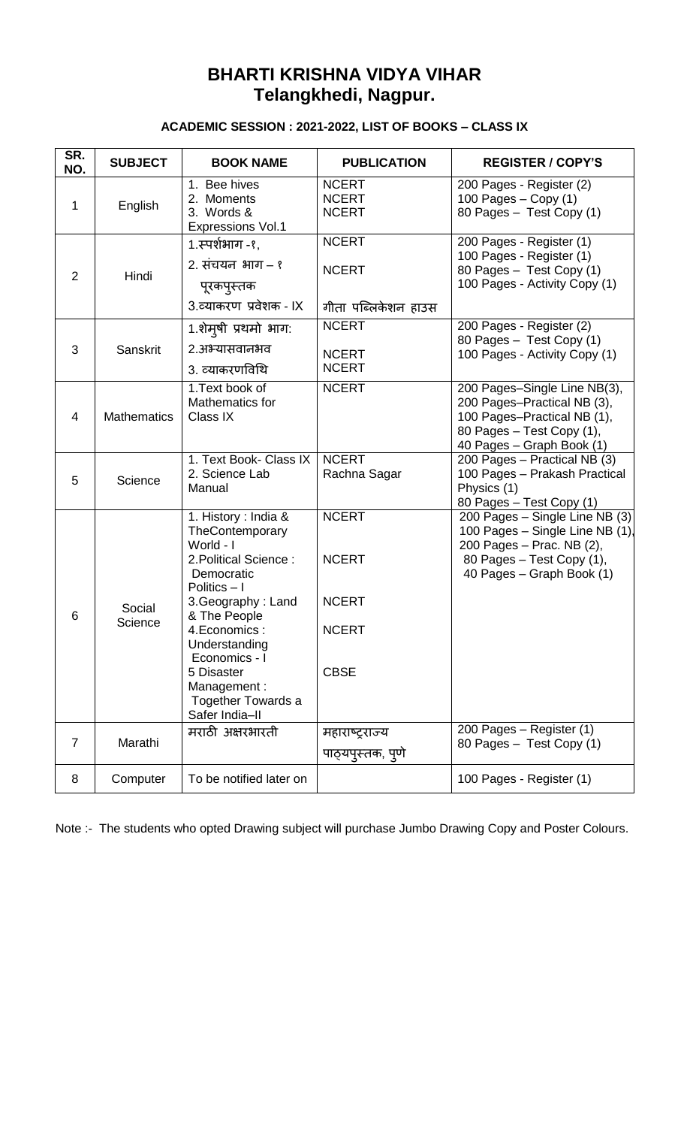## **BHARTI KRISHNA VIDYA VIHAR Telangkhedi, Nagpur.**

## **ACADEMIC SESSION : 2021-2022, LIST OF BOOKS – CLASS IX**

| SR.<br>NO. | <b>SUBJECT</b>     | <b>BOOK NAME</b>                                                                                                                                                  | <b>PUBLICATION</b>                                  | <b>REGISTER / COPY'S</b>                                                                                                                                 |
|------------|--------------------|-------------------------------------------------------------------------------------------------------------------------------------------------------------------|-----------------------------------------------------|----------------------------------------------------------------------------------------------------------------------------------------------------------|
| 1          | English            | 1. Bee hives<br>2. Moments<br>3. Words &<br><b>Expressions Vol.1</b>                                                                                              | <b>NCERT</b><br><b>NCERT</b><br><b>NCERT</b>        | 200 Pages - Register (2)<br>100 Pages $-$ Copy (1)<br>80 Pages - Test Copy (1)                                                                           |
| 2          | Hindi              | 1.स्पर्शभाग -१.<br>2. संचयन भाग – १<br>पूरकपुस्तक<br>3.व्याकरण प्रवेशक - IX                                                                                       | <b>NCERT</b><br><b>NCERT</b><br>गीता पब्लिकेशन हाउस | 200 Pages - Register (1)<br>100 Pages - Register (1)<br>80 Pages - Test Copy (1)<br>100 Pages - Activity Copy (1)                                        |
| 3          | Sanskrit           | 1.शेमुषी प्रथमो भाग:<br>2.अभ्यासवानभव<br>3. व्याकरणविथि                                                                                                           | <b>NCERT</b><br><b>NCERT</b><br><b>NCERT</b>        | 200 Pages - Register (2)<br>80 Pages - Test Copy (1)<br>100 Pages - Activity Copy (1)                                                                    |
| 4          | <b>Mathematics</b> | 1. Text book of<br>Mathematics for<br>Class IX                                                                                                                    | <b>NCERT</b>                                        | 200 Pages-Single Line NB(3),<br>200 Pages-Practical NB (3),<br>100 Pages-Practical NB (1),<br>80 Pages - Test Copy (1),<br>40 Pages - Graph Book (1)     |
| 5          | Science            | 1. Text Book- Class IX<br>2. Science Lab<br>Manual                                                                                                                | <b>NCERT</b><br>Rachna Sagar                        | 200 Pages - Practical NB (3)<br>100 Pages - Prakash Practical<br>Physics (1)<br>80 Pages - Test Copy (1)                                                 |
|            |                    | 1. History : India &<br>TheContemporary<br>World - I<br>2. Political Science:<br>Democratic<br>Politics $-1$                                                      | <b>NCERT</b><br><b>NCERT</b><br><b>NCERT</b>        | 200 Pages - Single Line NB (3)<br>100 Pages - Single Line NB (1),<br>200 Pages - Prac. NB (2),<br>80 Pages - Test Copy (1),<br>40 Pages - Graph Book (1) |
| 6          | Social<br>Science  | 3. Geography: Land<br>& The People<br>4. Economics:<br>Understanding<br>Economics - I<br>5 Disaster<br>Management:<br><b>Together Towards a</b><br>Safer India-II | <b>NCERT</b><br><b>CBSE</b>                         |                                                                                                                                                          |
| 7          | Marathi            | मराठी अक्षरभारती                                                                                                                                                  | महाराष्ट्राज्य<br>पाठ्यपुस्तक, पुणे                 | 200 Pages - Register (1)<br>80 Pages - Test Copy (1)                                                                                                     |
| 8          | Computer           | To be notified later on                                                                                                                                           |                                                     | 100 Pages - Register (1)                                                                                                                                 |

Note :- The students who opted Drawing subject will purchase Jumbo Drawing Copy and Poster Colours.